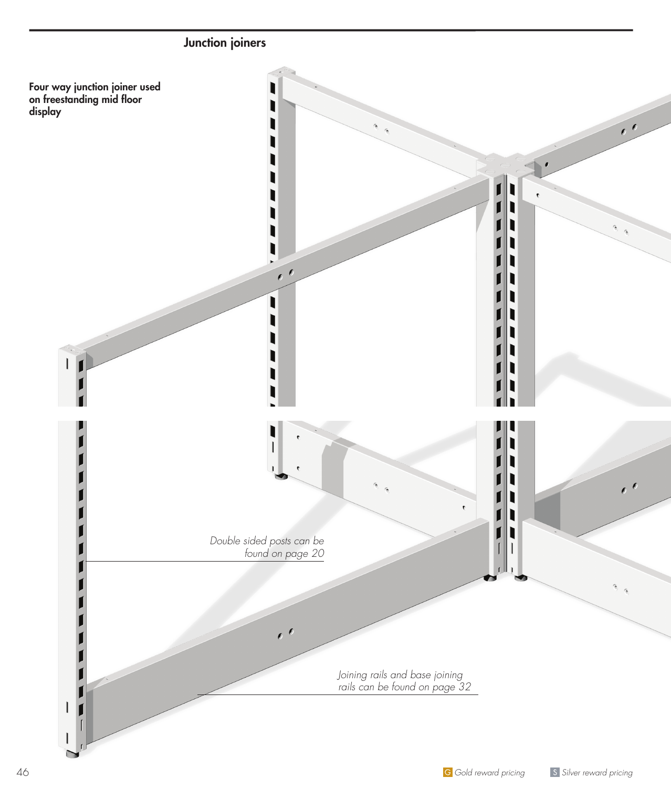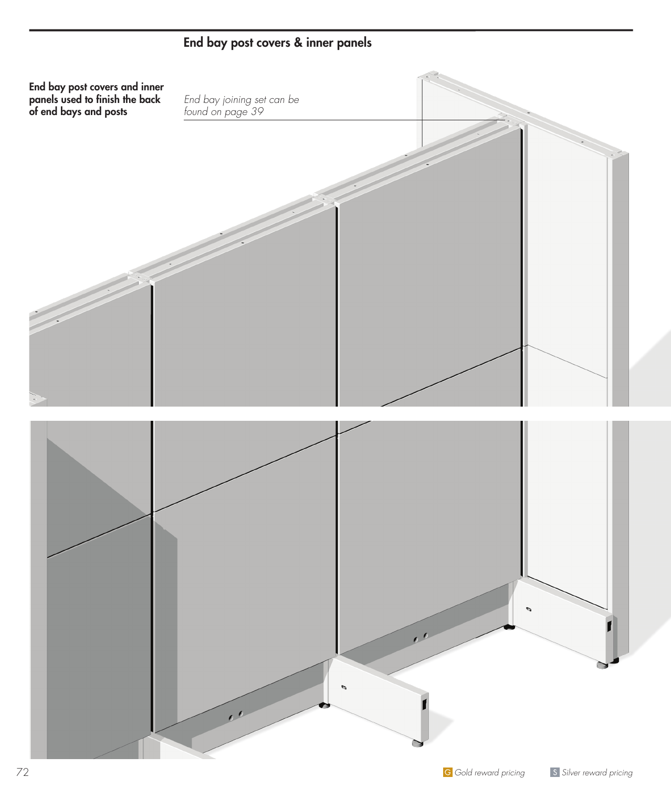

## End bay post covers & inner panels